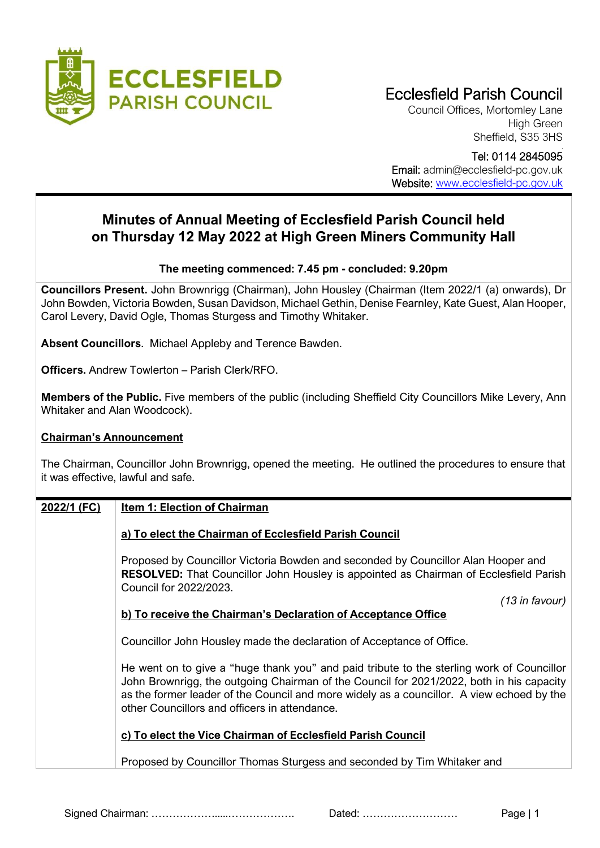

# Ecclesfield Parish Council

Council Offices, Mortomley Lane High Green Sheffield, S35 3HS

Tel: 0114 2845095

Email: admin@ecclesfield-pc.gov.uk Website: [www.ecclesfield-pc.gov.uk](http://www.ecclesfield-pc.gov.uk/)

## **Minutes of Annual Meeting of Ecclesfield Parish Council held on Thursday 12 May 2022 at High Green Miners Community Hall**

#### **The meeting commenced: 7.45 pm - concluded: 9.20pm**

**Councillors Present.** John Brownrigg (Chairman), John Housley (Chairman (Item 2022/1 (a) onwards), Dr John Bowden, Victoria Bowden, Susan Davidson, Michael Gethin, Denise Fearnley, Kate Guest, Alan Hooper, Carol Levery, David Ogle, Thomas Sturgess and Timothy Whitaker.

**Absent Councillors**. Michael Appleby and Terence Bawden.

**Officers.** Andrew Towlerton – Parish Clerk/RFO.

**Members of the Public.** Five members of the public (including Sheffield City Councillors Mike Levery, Ann Whitaker and Alan Woodcock).

#### **Chairman's Announcement**

The Chairman, Councillor John Brownrigg, opened the meeting. He outlined the procedures to ensure that it was effective, lawful and safe.

#### **2022/1 (FC) Item 1: Election of Chairman**

#### **a) To elect the Chairman of Ecclesfield Parish Council**

Proposed by Councillor Victoria Bowden and seconded by Councillor Alan Hooper and **RESOLVED:** That Councillor John Housley is appointed as Chairman of Ecclesfield Parish Council for 2022/2023.

*(13 in favour)*

#### **b) To receive the Chairman's Declaration of Acceptance Office**

Councillor John Housley made the declaration of Acceptance of Office.

He went on to give a "huge thank you" and paid tribute to the sterling work of Councillor John Brownrigg, the outgoing Chairman of the Council for 2021/2022, both in his capacity as the former leader of the Council and more widely as a councillor. A view echoed by the other Councillors and officers in attendance.

#### **c) To elect the Vice Chairman of Ecclesfield Parish Council**

Proposed by Councillor Thomas Sturgess and seconded by Tim Whitaker and

Signed Chairman: ……………….....………………. Dated: ……………………… Page | 1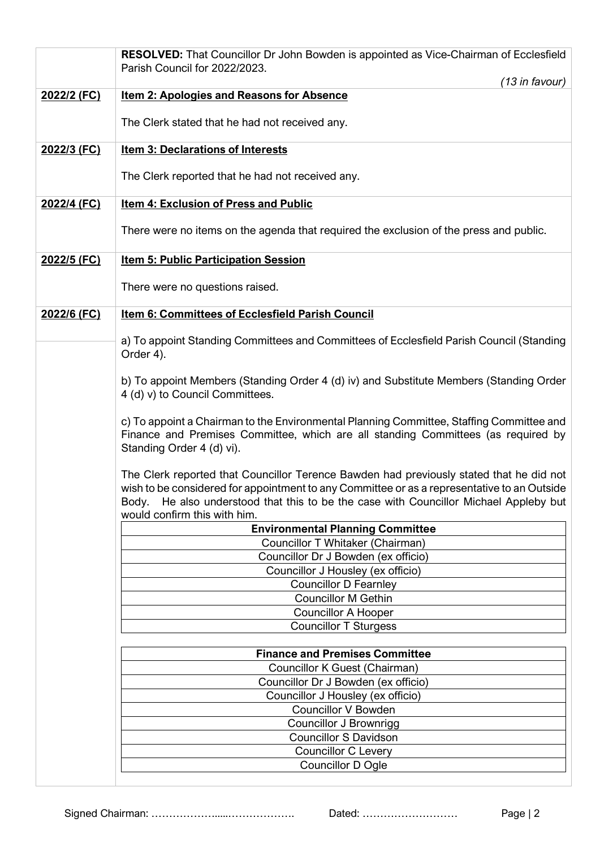|             | RESOLVED: That Councillor Dr John Bowden is appointed as Vice-Chairman of Ecclesfield<br>Parish Council for 2022/2023.                                                                                                                                                                                          |
|-------------|-----------------------------------------------------------------------------------------------------------------------------------------------------------------------------------------------------------------------------------------------------------------------------------------------------------------|
|             | (13 in favour)                                                                                                                                                                                                                                                                                                  |
| 2022/2 (FC) | <b>Item 2: Apologies and Reasons for Absence</b>                                                                                                                                                                                                                                                                |
|             | The Clerk stated that he had not received any.                                                                                                                                                                                                                                                                  |
| 2022/3 (FC) | Item 3: Declarations of Interests                                                                                                                                                                                                                                                                               |
|             | The Clerk reported that he had not received any.                                                                                                                                                                                                                                                                |
| 2022/4 (FC) | <b>Item 4: Exclusion of Press and Public</b>                                                                                                                                                                                                                                                                    |
|             | There were no items on the agenda that required the exclusion of the press and public.                                                                                                                                                                                                                          |
| 2022/5 (FC) | <b>Item 5: Public Participation Session</b>                                                                                                                                                                                                                                                                     |
|             | There were no questions raised.                                                                                                                                                                                                                                                                                 |
| 2022/6 (FC) | Item 6: Committees of Ecclesfield Parish Council                                                                                                                                                                                                                                                                |
|             | a) To appoint Standing Committees and Committees of Ecclesfield Parish Council (Standing<br>Order 4).                                                                                                                                                                                                           |
|             | b) To appoint Members (Standing Order 4 (d) iv) and Substitute Members (Standing Order<br>4 (d) v) to Council Committees.                                                                                                                                                                                       |
|             | c) To appoint a Chairman to the Environmental Planning Committee, Staffing Committee and<br>Finance and Premises Committee, which are all standing Committees (as required by<br>Standing Order 4 (d) vi).                                                                                                      |
|             | The Clerk reported that Councillor Terence Bawden had previously stated that he did not<br>wish to be considered for appointment to any Committee or as a representative to an Outside<br>Body. He also understood that this to be the case with Councillor Michael Appleby but<br>would confirm this with him. |
|             | <b>Environmental Planning Committee</b>                                                                                                                                                                                                                                                                         |
|             | Councillor T Whitaker (Chairman)<br>Councillor Dr J Bowden (ex officio)                                                                                                                                                                                                                                         |
|             | Councillor J Housley (ex officio)                                                                                                                                                                                                                                                                               |
|             | <b>Councillor D Fearnley</b>                                                                                                                                                                                                                                                                                    |
|             | <b>Councillor M Gethin</b>                                                                                                                                                                                                                                                                                      |
|             | <b>Councillor A Hooper</b>                                                                                                                                                                                                                                                                                      |
|             | <b>Councillor T Sturgess</b>                                                                                                                                                                                                                                                                                    |
|             | <b>Finance and Premises Committee</b>                                                                                                                                                                                                                                                                           |
|             | Councillor K Guest (Chairman)                                                                                                                                                                                                                                                                                   |
|             | Councillor Dr J Bowden (ex officio)                                                                                                                                                                                                                                                                             |
|             | Councillor J Housley (ex officio)                                                                                                                                                                                                                                                                               |
|             | <b>Councillor V Bowden</b><br><b>Councillor J Brownrigg</b>                                                                                                                                                                                                                                                     |
|             | <b>Councillor S Davidson</b>                                                                                                                                                                                                                                                                                    |
|             | <b>Councillor C Levery</b>                                                                                                                                                                                                                                                                                      |
|             | <b>Councillor D Ogle</b>                                                                                                                                                                                                                                                                                        |
|             |                                                                                                                                                                                                                                                                                                                 |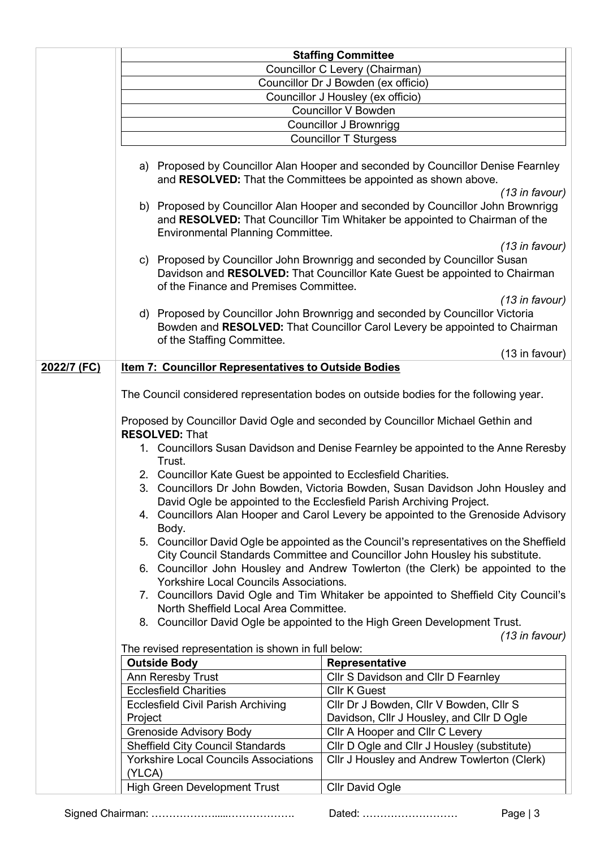|             |                                                                                                          | <b>Staffing Committee</b>                                                                                                                                                      |  |  |  |
|-------------|----------------------------------------------------------------------------------------------------------|--------------------------------------------------------------------------------------------------------------------------------------------------------------------------------|--|--|--|
|             |                                                                                                          | Councillor C Levery (Chairman)                                                                                                                                                 |  |  |  |
|             |                                                                                                          | Councillor Dr J Bowden (ex officio)                                                                                                                                            |  |  |  |
|             |                                                                                                          | Councillor J Housley (ex officio)                                                                                                                                              |  |  |  |
|             |                                                                                                          | <b>Councillor V Bowden</b>                                                                                                                                                     |  |  |  |
|             |                                                                                                          | <b>Councillor J Brownrigg</b>                                                                                                                                                  |  |  |  |
|             |                                                                                                          | <b>Councillor T Sturgess</b>                                                                                                                                                   |  |  |  |
|             |                                                                                                          | a) Proposed by Councillor Alan Hooper and seconded by Councillor Denise Fearnley<br>and RESOLVED: That the Committees be appointed as shown above.<br>$(13$ in favour)         |  |  |  |
|             | <b>Environmental Planning Committee.</b>                                                                 | b) Proposed by Councillor Alan Hooper and seconded by Councillor John Brownrigg<br>and RESOLVED: That Councillor Tim Whitaker be appointed to Chairman of the                  |  |  |  |
|             | of the Finance and Premises Committee.                                                                   | $(13$ in favour)<br>c) Proposed by Councillor John Brownrigg and seconded by Councillor Susan<br>Davidson and RESOLVED: That Councillor Kate Guest be appointed to Chairman    |  |  |  |
|             | of the Staffing Committee.                                                                               | $(13$ in favour)<br>d) Proposed by Councillor John Brownrigg and seconded by Councillor Victoria<br>Bowden and RESOLVED: That Councillor Carol Levery be appointed to Chairman |  |  |  |
|             |                                                                                                          | (13 in favour)                                                                                                                                                                 |  |  |  |
| 2022/7 (FC) | <b>Item 7: Councillor Representatives to Outside Bodies</b>                                              |                                                                                                                                                                                |  |  |  |
|             |                                                                                                          |                                                                                                                                                                                |  |  |  |
|             | The Council considered representation bodes on outside bodies for the following year.                    |                                                                                                                                                                                |  |  |  |
|             | Proposed by Councillor David Ogle and seconded by Councillor Michael Gethin and<br><b>RESOLVED: That</b> |                                                                                                                                                                                |  |  |  |
|             | 1. Councillors Susan Davidson and Denise Fearnley be appointed to the Anne Reresby<br>Trust.             |                                                                                                                                                                                |  |  |  |
|             | 2. Councillor Kate Guest be appointed to Ecclesfield Charities.                                          |                                                                                                                                                                                |  |  |  |
|             |                                                                                                          | 3. Councillors Dr John Bowden, Victoria Bowden, Susan Davidson John Housley and                                                                                                |  |  |  |
|             |                                                                                                          | David Ogle be appointed to the Ecclesfield Parish Archiving Project.                                                                                                           |  |  |  |
|             | Councillors Alan Hooper and Carol Levery be appointed to the Grenoside Advisory<br>4.                    |                                                                                                                                                                                |  |  |  |
|             | Body.                                                                                                    | 5. Councillor David Ogle be appointed as the Council's representatives on the Sheffield<br>City Council Standards Committee and Councillor John Housley his substitute.        |  |  |  |
|             | <b>Yorkshire Local Councils Associations.</b>                                                            | 6. Councillor John Housley and Andrew Towlerton (the Clerk) be appointed to the                                                                                                |  |  |  |
|             |                                                                                                          | 7. Councillors David Ogle and Tim Whitaker be appointed to Sheffield City Council's                                                                                            |  |  |  |
|             | North Sheffield Local Area Committee.                                                                    |                                                                                                                                                                                |  |  |  |
|             |                                                                                                          | 8. Councillor David Ogle be appointed to the High Green Development Trust.                                                                                                     |  |  |  |
|             |                                                                                                          | $(13$ in favour)                                                                                                                                                               |  |  |  |
|             | The revised representation is shown in full below:                                                       |                                                                                                                                                                                |  |  |  |
|             | <b>Outside Body</b>                                                                                      | Representative                                                                                                                                                                 |  |  |  |
|             | Ann Reresby Trust                                                                                        | Cllr S Davidson and Cllr D Fearnley                                                                                                                                            |  |  |  |
|             | <b>Ecclesfield Charities</b><br><b>Ecclesfield Civil Parish Archiving</b>                                | <b>Cllr K Guest</b><br>Cllr Dr J Bowden, Cllr V Bowden, Cllr S                                                                                                                 |  |  |  |
|             | Project                                                                                                  | Davidson, Cllr J Housley, and Cllr D Ogle                                                                                                                                      |  |  |  |
|             | <b>Grenoside Advisory Body</b>                                                                           | Cllr A Hooper and Cllr C Levery                                                                                                                                                |  |  |  |
|             | <b>Sheffield City Council Standards</b>                                                                  | Cllr D Ogle and Cllr J Housley (substitute)                                                                                                                                    |  |  |  |
|             | <b>Yorkshire Local Councils Associations</b><br>(YLCA)                                                   | Cllr J Housley and Andrew Towlerton (Clerk)                                                                                                                                    |  |  |  |
|             | <b>High Green Development Trust</b>                                                                      | <b>Cllr David Ogle</b>                                                                                                                                                         |  |  |  |

Signed Chairman: ……………….....………………. Dated: ……………………… Page | 3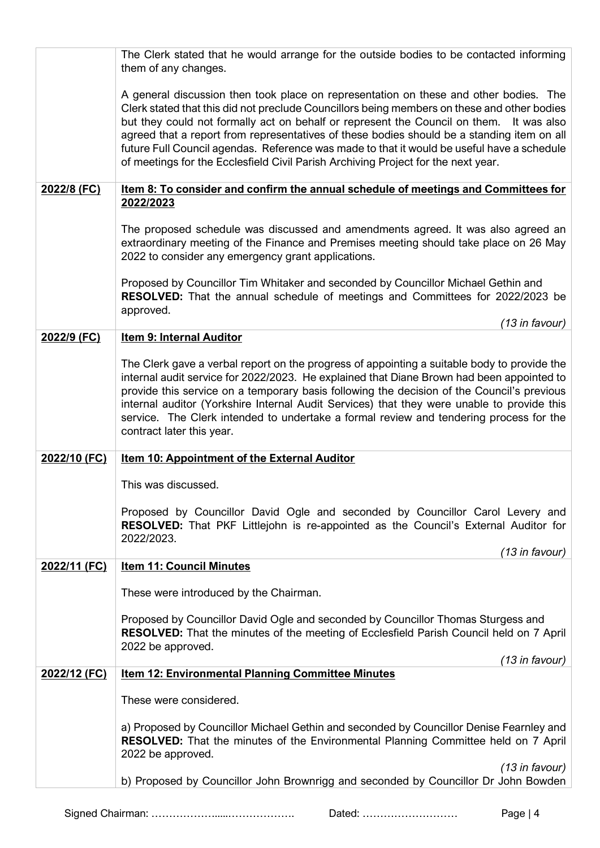|              | The Clerk stated that he would arrange for the outside bodies to be contacted informing<br>them of any changes.                                                                                                                                                                                                                                                                                                                                                                                                                                                     |
|--------------|---------------------------------------------------------------------------------------------------------------------------------------------------------------------------------------------------------------------------------------------------------------------------------------------------------------------------------------------------------------------------------------------------------------------------------------------------------------------------------------------------------------------------------------------------------------------|
|              | A general discussion then took place on representation on these and other bodies. The<br>Clerk stated that this did not preclude Councillors being members on these and other bodies<br>but they could not formally act on behalf or represent the Council on them.<br>It was also<br>agreed that a report from representatives of these bodies should be a standing item on all<br>future Full Council agendas. Reference was made to that it would be useful have a schedule<br>of meetings for the Ecclesfield Civil Parish Archiving Project for the next year. |
| 2022/8 (FC)  | <u>Item 8: To consider and confirm the annual schedule of meetings and Committees for</u><br>2022/2023                                                                                                                                                                                                                                                                                                                                                                                                                                                              |
|              | The proposed schedule was discussed and amendments agreed. It was also agreed an<br>extraordinary meeting of the Finance and Premises meeting should take place on 26 May<br>2022 to consider any emergency grant applications.                                                                                                                                                                                                                                                                                                                                     |
|              | Proposed by Councillor Tim Whitaker and seconded by Councillor Michael Gethin and<br>RESOLVED: That the annual schedule of meetings and Committees for 2022/2023 be<br>approved.                                                                                                                                                                                                                                                                                                                                                                                    |
|              | (13 in favour)                                                                                                                                                                                                                                                                                                                                                                                                                                                                                                                                                      |
| 2022/9 (FC)  | Item 9: Internal Auditor                                                                                                                                                                                                                                                                                                                                                                                                                                                                                                                                            |
|              | The Clerk gave a verbal report on the progress of appointing a suitable body to provide the<br>internal audit service for 2022/2023. He explained that Diane Brown had been appointed to<br>provide this service on a temporary basis following the decision of the Council's previous<br>internal auditor (Yorkshire Internal Audit Services) that they were unable to provide this<br>service. The Clerk intended to undertake a formal review and tendering process for the<br>contract later this year.                                                         |
| 2022/10 (FC) | <b>Item 10: Appointment of the External Auditor</b>                                                                                                                                                                                                                                                                                                                                                                                                                                                                                                                 |
|              | This was discussed.                                                                                                                                                                                                                                                                                                                                                                                                                                                                                                                                                 |
|              | Proposed by Councillor David Ogle and seconded by Councillor Carol Levery and<br><b>RESOLVED:</b> That PKF Littlejohn is re-appointed as the Council's External Auditor for<br>2022/2023.<br>(13 in favour)                                                                                                                                                                                                                                                                                                                                                         |
| 2022/11 (FC) | <b>Item 11: Council Minutes</b>                                                                                                                                                                                                                                                                                                                                                                                                                                                                                                                                     |
|              | These were introduced by the Chairman.                                                                                                                                                                                                                                                                                                                                                                                                                                                                                                                              |
|              | Proposed by Councillor David Ogle and seconded by Councillor Thomas Sturgess and<br><b>RESOLVED:</b> That the minutes of the meeting of Ecclesfield Parish Council held on 7 April<br>2022 be approved.                                                                                                                                                                                                                                                                                                                                                             |
| 2022/12 (FC) | (13 in favour)<br><b>Item 12: Environmental Planning Committee Minutes</b>                                                                                                                                                                                                                                                                                                                                                                                                                                                                                          |
|              |                                                                                                                                                                                                                                                                                                                                                                                                                                                                                                                                                                     |
|              | These were considered.                                                                                                                                                                                                                                                                                                                                                                                                                                                                                                                                              |
|              | a) Proposed by Councillor Michael Gethin and seconded by Councillor Denise Fearnley and<br><b>RESOLVED:</b> That the minutes of the Environmental Planning Committee held on 7 April<br>2022 be approved.                                                                                                                                                                                                                                                                                                                                                           |
|              | (13 in favour)<br>b) Proposed by Councillor John Brownrigg and seconded by Councillor Dr John Bowden                                                                                                                                                                                                                                                                                                                                                                                                                                                                |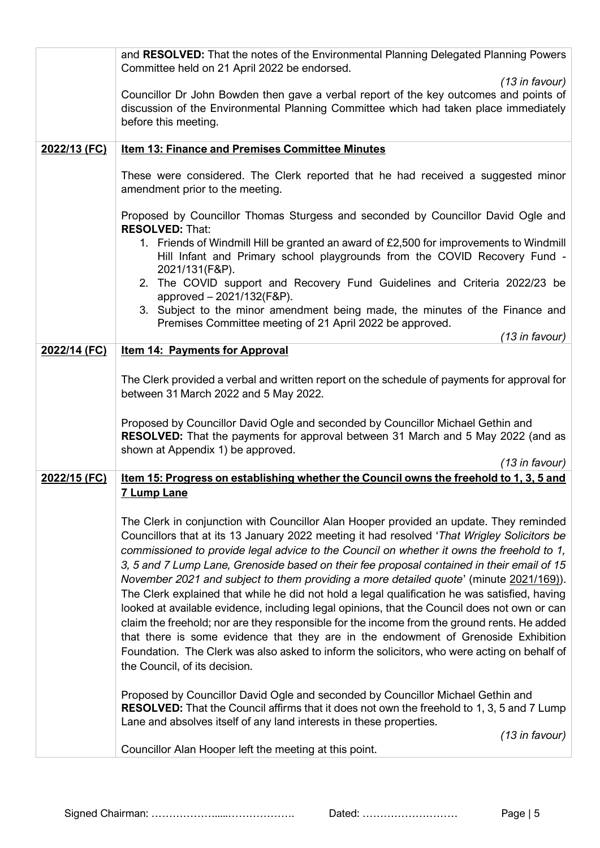|              | and RESOLVED: That the notes of the Environmental Planning Delegated Planning Powers                                                                                                                                                                                                                                                                                                                                                                                                                                                                                                                                                                                                                                                                                                                                                                                                                                                                                                             |
|--------------|--------------------------------------------------------------------------------------------------------------------------------------------------------------------------------------------------------------------------------------------------------------------------------------------------------------------------------------------------------------------------------------------------------------------------------------------------------------------------------------------------------------------------------------------------------------------------------------------------------------------------------------------------------------------------------------------------------------------------------------------------------------------------------------------------------------------------------------------------------------------------------------------------------------------------------------------------------------------------------------------------|
|              | Committee held on 21 April 2022 be endorsed.                                                                                                                                                                                                                                                                                                                                                                                                                                                                                                                                                                                                                                                                                                                                                                                                                                                                                                                                                     |
|              | $(13$ in favour)<br>Councillor Dr John Bowden then gave a verbal report of the key outcomes and points of<br>discussion of the Environmental Planning Committee which had taken place immediately<br>before this meeting.                                                                                                                                                                                                                                                                                                                                                                                                                                                                                                                                                                                                                                                                                                                                                                        |
| 2022/13 (FC) | <b>Item 13: Finance and Premises Committee Minutes</b>                                                                                                                                                                                                                                                                                                                                                                                                                                                                                                                                                                                                                                                                                                                                                                                                                                                                                                                                           |
|              | These were considered. The Clerk reported that he had received a suggested minor<br>amendment prior to the meeting.                                                                                                                                                                                                                                                                                                                                                                                                                                                                                                                                                                                                                                                                                                                                                                                                                                                                              |
|              | Proposed by Councillor Thomas Sturgess and seconded by Councillor David Ogle and                                                                                                                                                                                                                                                                                                                                                                                                                                                                                                                                                                                                                                                                                                                                                                                                                                                                                                                 |
|              | <b>RESOLVED: That:</b><br>1. Friends of Windmill Hill be granted an award of £2,500 for improvements to Windmill<br>Hill Infant and Primary school playgrounds from the COVID Recovery Fund -<br>2021/131(F&P).                                                                                                                                                                                                                                                                                                                                                                                                                                                                                                                                                                                                                                                                                                                                                                                  |
|              | 2. The COVID support and Recovery Fund Guidelines and Criteria 2022/23 be<br>approved - 2021/132(F&P).                                                                                                                                                                                                                                                                                                                                                                                                                                                                                                                                                                                                                                                                                                                                                                                                                                                                                           |
|              | 3. Subject to the minor amendment being made, the minutes of the Finance and<br>Premises Committee meeting of 21 April 2022 be approved.                                                                                                                                                                                                                                                                                                                                                                                                                                                                                                                                                                                                                                                                                                                                                                                                                                                         |
|              | (13 in favour)                                                                                                                                                                                                                                                                                                                                                                                                                                                                                                                                                                                                                                                                                                                                                                                                                                                                                                                                                                                   |
| 2022/14 (FC) | <b>Item 14: Payments for Approval</b>                                                                                                                                                                                                                                                                                                                                                                                                                                                                                                                                                                                                                                                                                                                                                                                                                                                                                                                                                            |
|              | The Clerk provided a verbal and written report on the schedule of payments for approval for<br>between 31 March 2022 and 5 May 2022.                                                                                                                                                                                                                                                                                                                                                                                                                                                                                                                                                                                                                                                                                                                                                                                                                                                             |
|              | Proposed by Councillor David Ogle and seconded by Councillor Michael Gethin and<br>RESOLVED: That the payments for approval between 31 March and 5 May 2022 (and as<br>shown at Appendix 1) be approved.                                                                                                                                                                                                                                                                                                                                                                                                                                                                                                                                                                                                                                                                                                                                                                                         |
|              | (13 in favour)                                                                                                                                                                                                                                                                                                                                                                                                                                                                                                                                                                                                                                                                                                                                                                                                                                                                                                                                                                                   |
| 2022/15 (FC) | <u>Item 15: Progress on establishing whether the Council owns the freehold to 1, 3, 5 and</u><br><b>7 Lump Lane</b>                                                                                                                                                                                                                                                                                                                                                                                                                                                                                                                                                                                                                                                                                                                                                                                                                                                                              |
|              | The Clerk in conjunction with Councillor Alan Hooper provided an update. They reminded<br>Councillors that at its 13 January 2022 meeting it had resolved 'That Wrigley Solicitors be<br>commissioned to provide legal advice to the Council on whether it owns the freehold to 1,<br>3, 5 and 7 Lump Lane, Grenoside based on their fee proposal contained in their email of 15<br>November 2021 and subject to them providing a more detailed quote' (minute 2021/169)).<br>The Clerk explained that while he did not hold a legal qualification he was satisfied, having<br>looked at available evidence, including legal opinions, that the Council does not own or can<br>claim the freehold; nor are they responsible for the income from the ground rents. He added<br>that there is some evidence that they are in the endowment of Grenoside Exhibition<br>Foundation. The Clerk was also asked to inform the solicitors, who were acting on behalf of<br>the Council, of its decision. |
|              | Proposed by Councillor David Ogle and seconded by Councillor Michael Gethin and<br><b>RESOLVED:</b> That the Council affirms that it does not own the freehold to 1, 3, 5 and 7 Lump<br>Lane and absolves itself of any land interests in these properties.                                                                                                                                                                                                                                                                                                                                                                                                                                                                                                                                                                                                                                                                                                                                      |
|              | (13 in favour)<br>Councillor Alan Hooper left the meeting at this point.                                                                                                                                                                                                                                                                                                                                                                                                                                                                                                                                                                                                                                                                                                                                                                                                                                                                                                                         |
|              |                                                                                                                                                                                                                                                                                                                                                                                                                                                                                                                                                                                                                                                                                                                                                                                                                                                                                                                                                                                                  |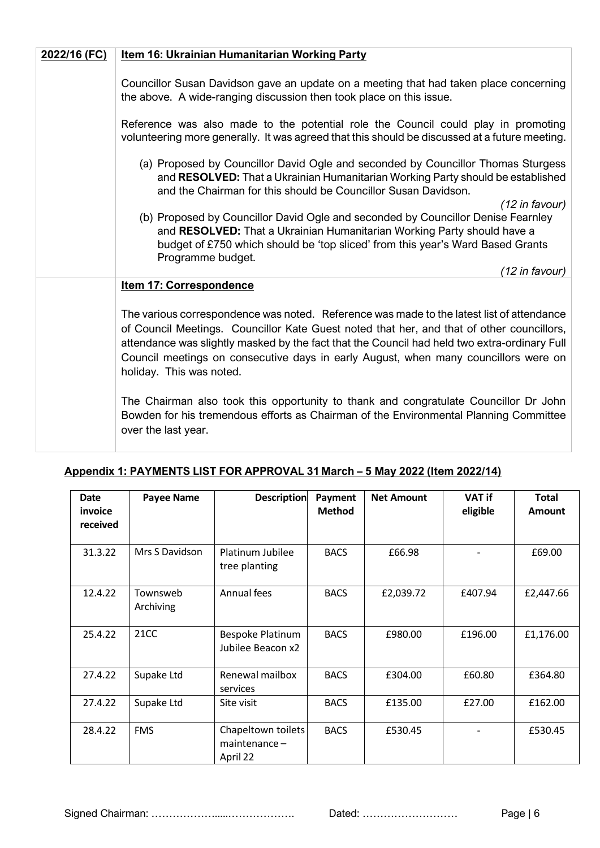| 2022/16 (FC) | Item 16: Ukrainian Humanitarian Working Party                                                                                                                                                                                                                                                                                                                                                                                                                                                                                                                                                                   |
|--------------|-----------------------------------------------------------------------------------------------------------------------------------------------------------------------------------------------------------------------------------------------------------------------------------------------------------------------------------------------------------------------------------------------------------------------------------------------------------------------------------------------------------------------------------------------------------------------------------------------------------------|
|              | Councillor Susan Davidson gave an update on a meeting that had taken place concerning<br>the above. A wide-ranging discussion then took place on this issue.<br>Reference was also made to the potential role the Council could play in promoting<br>volunteering more generally. It was agreed that this should be discussed at a future meeting.<br>(a) Proposed by Councillor David Ogle and seconded by Councillor Thomas Sturgess<br>and RESOLVED: That a Ukrainian Humanitarian Working Party should be established<br>and the Chairman for this should be Councillor Susan Davidson.<br>$(12$ in favour) |
|              | (b) Proposed by Councillor David Ogle and seconded by Councillor Denise Fearnley<br>and RESOLVED: That a Ukrainian Humanitarian Working Party should have a<br>budget of £750 which should be 'top sliced' from this year's Ward Based Grants<br>Programme budget.<br>(12 in favour)                                                                                                                                                                                                                                                                                                                            |
|              | Item 17: Correspondence                                                                                                                                                                                                                                                                                                                                                                                                                                                                                                                                                                                         |
|              | The various correspondence was noted. Reference was made to the latest list of attendance<br>of Council Meetings. Councillor Kate Guest noted that her, and that of other councillors,<br>attendance was slightly masked by the fact that the Council had held two extra-ordinary Full<br>Council meetings on consecutive days in early August, when many councillors were on<br>holiday. This was noted.                                                                                                                                                                                                       |
|              | The Chairman also took this opportunity to thank and congratulate Councillor Dr John<br>Bowden for his tremendous efforts as Chairman of the Environmental Planning Committee<br>over the last year.                                                                                                                                                                                                                                                                                                                                                                                                            |

| <b>Date</b><br>invoice<br>received | <b>Payee Name</b>     | <b>Description</b>                             | Payment<br><b>Method</b> | <b>Net Amount</b> | <b>VAT if</b><br>eligible | <b>Total</b><br><b>Amount</b> |
|------------------------------------|-----------------------|------------------------------------------------|--------------------------|-------------------|---------------------------|-------------------------------|
| 31.3.22                            | Mrs S Davidson        | Platinum Jubilee<br>tree planting              | <b>BACS</b>              | £66.98            |                           | £69.00                        |
| 12.4.22                            | Townsweb<br>Archiving | Annual fees                                    | <b>BACS</b>              | £2,039.72         | £407.94                   | £2,447.66                     |
| 25.4.22                            | 21 <sub>C</sub>       | Bespoke Platinum<br>Jubilee Beacon x2          | <b>BACS</b>              | £980.00           | £196.00                   | £1,176.00                     |
| 27.4.22                            | Supake Ltd            | Renewal mailbox<br>services                    | <b>BACS</b>              | £304.00           | £60.80                    | £364.80                       |
| 27.4.22                            | Supake Ltd            | Site visit                                     | <b>BACS</b>              | £135.00           | £27.00                    | £162.00                       |
| 28.4.22                            | <b>FMS</b>            | Chapeltown toilets<br>maintenance-<br>April 22 | <b>BACS</b>              | £530.45           |                           | £530.45                       |

### **Appendix 1: PAYMENTS LIST FOR APPROVAL 31 March – 5 May 2022 (Item 2022/14)**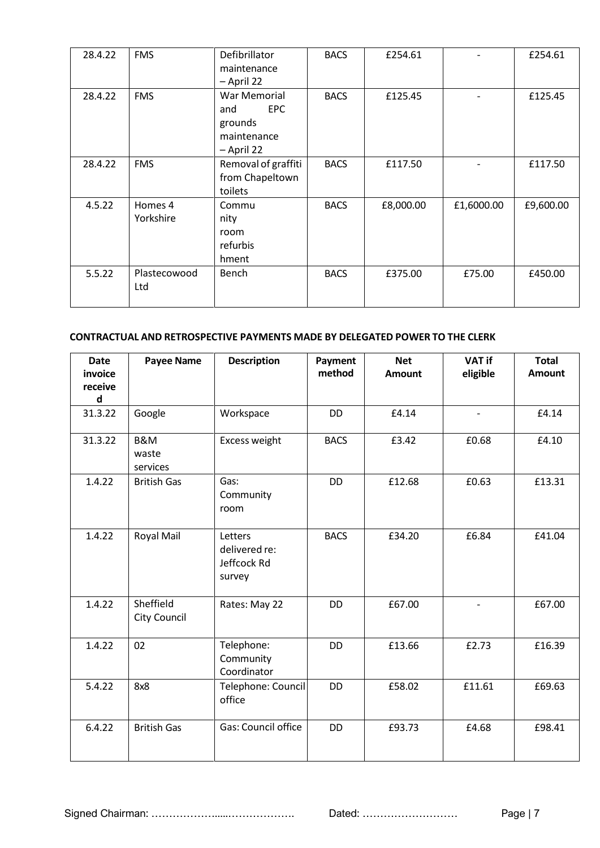| 28.4.22 | <b>FMS</b>           | Defibrillator<br>maintenance<br>- April 22                                | <b>BACS</b> | £254.61   |            | £254.61   |
|---------|----------------------|---------------------------------------------------------------------------|-------------|-----------|------------|-----------|
| 28.4.22 | <b>FMS</b>           | War Memorial<br><b>EPC</b><br>and<br>grounds<br>maintenance<br>- April 22 | <b>BACS</b> | £125.45   |            | £125.45   |
| 28.4.22 | <b>FMS</b>           | Removal of graffiti<br>from Chapeltown<br>toilets                         | <b>BACS</b> | £117.50   |            | £117.50   |
| 4.5.22  | Homes 4<br>Yorkshire | Commu<br>nity<br>room<br>refurbis<br>hment                                | <b>BACS</b> | £8,000.00 | £1,6000.00 | £9,600.00 |
| 5.5.22  | Plastecowood<br>Ltd  | Bench                                                                     | <b>BACS</b> | £375.00   | £75.00     | £450.00   |

#### **CONTRACTUAL AND RETROSPECTIVE PAYMENTS MADE BY DELEGATED POWER TO THE CLERK**

| <b>Date</b><br>invoice<br>receive<br>$\mathsf{d}$ | <b>Payee Name</b>                   | <b>Description</b>                                | Payment<br>method | <b>Net</b><br><b>Amount</b> | <b>VAT if</b><br>eligible | <b>Total</b><br><b>Amount</b> |
|---------------------------------------------------|-------------------------------------|---------------------------------------------------|-------------------|-----------------------------|---------------------------|-------------------------------|
| 31.3.22                                           | Google                              | Workspace                                         | <b>DD</b>         | £4.14                       |                           | £4.14                         |
| 31.3.22                                           | <b>B&amp;M</b><br>waste<br>services | Excess weight                                     | <b>BACS</b>       | £3.42                       | £0.68                     | £4.10                         |
| 1.4.22                                            | <b>British Gas</b>                  | Gas:<br>Community<br>room                         | <b>DD</b>         | £12.68                      | £0.63                     | £13.31                        |
| 1.4.22                                            | Royal Mail                          | Letters<br>delivered re:<br>Jeffcock Rd<br>survey | <b>BACS</b>       | £34.20                      | £6.84                     | £41.04                        |
| 1.4.22                                            | Sheffield<br>City Council           | Rates: May 22                                     | <b>DD</b>         | £67.00                      |                           | £67.00                        |
| 1.4.22                                            | 02                                  | Telephone:<br>Community<br>Coordinator            | <b>DD</b>         | £13.66                      | £2.73                     | £16.39                        |
| 5.4.22                                            | 8x8                                 | Telephone: Council<br>office                      | <b>DD</b>         | £58.02                      | £11.61                    | £69.63                        |
| 6.4.22                                            | <b>British Gas</b>                  | Gas: Council office                               | <b>DD</b>         | £93.73                      | £4.68                     | £98.41                        |

Signed Chairman: ……………….....………………. Dated: ……………………… Page | 7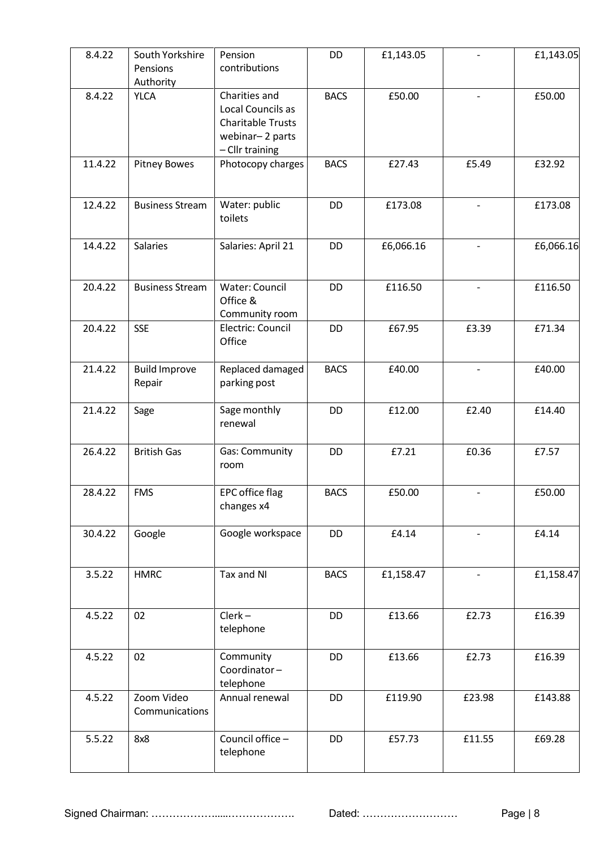| 8.4.22  | South Yorkshire<br>Pensions<br>Authority | Pension<br>contributions                                                                             | <b>DD</b>   | £1,143.05 |                          | £1,143.05 |
|---------|------------------------------------------|------------------------------------------------------------------------------------------------------|-------------|-----------|--------------------------|-----------|
| 8.4.22  | <b>YLCA</b>                              | Charities and<br>Local Councils as<br><b>Charitable Trusts</b><br>webinar-2 parts<br>- Cllr training | <b>BACS</b> | £50.00    | $\overline{\phantom{a}}$ | £50.00    |
| 11.4.22 | <b>Pitney Bowes</b>                      | Photocopy charges                                                                                    | <b>BACS</b> | £27.43    | £5.49                    | £32.92    |
| 12.4.22 | <b>Business Stream</b>                   | Water: public<br>toilets                                                                             | <b>DD</b>   | £173.08   | $\blacksquare$           | £173.08   |
| 14.4.22 | Salaries                                 | Salaries: April 21                                                                                   | DD          | £6,066.16 |                          | £6,066.16 |
| 20.4.22 | <b>Business Stream</b>                   | <b>Water: Council</b><br>Office &<br>Community room                                                  | <b>DD</b>   | £116.50   |                          | £116.50   |
| 20.4.22 | <b>SSE</b>                               | Electric: Council<br>Office                                                                          | <b>DD</b>   | £67.95    | £3.39                    | £71.34    |
| 21.4.22 | <b>Build Improve</b><br>Repair           | Replaced damaged<br>parking post                                                                     | <b>BACS</b> | £40.00    |                          | £40.00    |
| 21.4.22 | Sage                                     | Sage monthly<br>renewal                                                                              | <b>DD</b>   | £12.00    | £2.40                    | £14.40    |
| 26.4.22 | <b>British Gas</b>                       | <b>Gas: Community</b><br>room                                                                        | DD          | £7.21     | £0.36                    | £7.57     |
| 28.4.22 | <b>FMS</b>                               | <b>EPC</b> office flag<br>changes x4                                                                 | <b>BACS</b> | £50.00    |                          | £50.00    |
| 30.4.22 | Google                                   | Google workspace                                                                                     | DD          | £4.14     |                          | £4.14     |
| 3.5.22  | <b>HMRC</b>                              | Tax and NI                                                                                           | <b>BACS</b> | £1,158.47 |                          | £1,158.47 |
| 4.5.22  | 02                                       | $Clerk -$<br>telephone                                                                               | <b>DD</b>   | £13.66    | £2.73                    | £16.39    |
| 4.5.22  | 02                                       | Community<br>Coordinator-<br>telephone                                                               | <b>DD</b>   | £13.66    | £2.73                    | £16.39    |
| 4.5.22  | Zoom Video<br>Communications             | Annual renewal                                                                                       | <b>DD</b>   | £119.90   | £23.98                   | £143.88   |
| 5.5.22  | 8x8                                      | Council office -<br>telephone                                                                        | DD          | £57.73    | £11.55                   | £69.28    |
|         |                                          |                                                                                                      |             |           |                          |           |